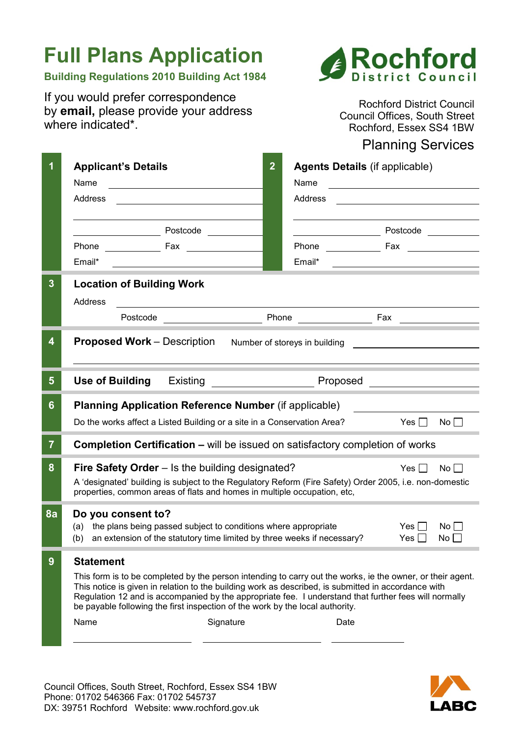# **Full Plans Application**

# **Building Regulations 2010 Building Act 1984**

If you would prefer correspondence by **email,** please provide your address where indicated\*.



Rochford District Council Council Offices, South Street Rochford, Essex SS4 1BW

# Planning Services

|                | <b>Applicant's Details</b>                                                                                                                                                                                   | $\overline{2}$ | <b>Agents Details (if applicable)</b> |            |             |  |  |
|----------------|--------------------------------------------------------------------------------------------------------------------------------------------------------------------------------------------------------------|----------------|---------------------------------------|------------|-------------|--|--|
|                | Name                                                                                                                                                                                                         |                | Name                                  |            |             |  |  |
|                | Address                                                                                                                                                                                                      |                | Address                               |            |             |  |  |
|                |                                                                                                                                                                                                              |                |                                       |            |             |  |  |
|                | Postcode                                                                                                                                                                                                     |                | Postcode and the property             |            |             |  |  |
|                | Phone<br><b>Example 18 Track</b>                                                                                                                                                                             |                | <b>Phone Contract Phone</b>           | Fax        |             |  |  |
|                | Email*                                                                                                                                                                                                       |                | Email*                                |            |             |  |  |
| 3              | <b>Location of Building Work</b>                                                                                                                                                                             |                |                                       |            |             |  |  |
|                |                                                                                                                                                                                                              |                |                                       |            |             |  |  |
|                | Address                                                                                                                                                                                                      |                |                                       |            |             |  |  |
|                | Postcode                                                                                                                                                                                                     | Phone          |                                       | Fax        |             |  |  |
| 4              | <b>Proposed Work</b> – Description<br>Number of storeys in building                                                                                                                                          |                |                                       |            |             |  |  |
|                |                                                                                                                                                                                                              |                |                                       |            |             |  |  |
|                |                                                                                                                                                                                                              |                |                                       |            |             |  |  |
| 5              | <b>Use of Building</b><br>Existing<br>Proposed                                                                                                                                                               |                |                                       |            |             |  |  |
| 6              | <b>Planning Application Reference Number (if applicable)</b>                                                                                                                                                 |                |                                       |            |             |  |  |
|                | Do the works affect a Listed Building or a site in a Conservation Area?                                                                                                                                      |                |                                       | Yes        | No          |  |  |
|                |                                                                                                                                                                                                              |                |                                       |            |             |  |  |
| $\overline{7}$ | <b>Completion Certification – will be issued on satisfactory completion of works</b>                                                                                                                         |                |                                       |            |             |  |  |
| 8              | Fire Safety Order - Is the building designated?                                                                                                                                                              |                |                                       | $Yes \Box$ | No          |  |  |
|                | A 'designated' building is subject to the Regulatory Reform (Fire Safety) Order 2005, i.e. non-domestic                                                                                                      |                |                                       |            |             |  |  |
|                | properties, common areas of flats and homes in multiple occupation, etc,                                                                                                                                     |                |                                       |            |             |  |  |
| 8a             | Do you consent to?                                                                                                                                                                                           |                |                                       |            |             |  |  |
|                | the plans being passed subject to conditions where appropriate<br>(a)                                                                                                                                        |                |                                       | Yes II     | $No$ $\Box$ |  |  |
|                | an extension of the statutory time limited by three weeks if necessary?<br>(b)                                                                                                                               |                |                                       | Yes II     | No          |  |  |
| 9              | <b>Statement</b>                                                                                                                                                                                             |                |                                       |            |             |  |  |
|                | This form is to be completed by the person intending to carry out the works, ie the owner, or their agent.                                                                                                   |                |                                       |            |             |  |  |
|                | This notice is given in relation to the building work as described, is submitted in accordance with<br>Regulation 12 and is accompanied by the appropriate fee. I understand that further fees will normally |                |                                       |            |             |  |  |
|                | be payable following the first inspection of the work by the local authority.                                                                                                                                |                |                                       |            |             |  |  |
|                | Name<br>Signature                                                                                                                                                                                            |                | Date                                  |            |             |  |  |
|                |                                                                                                                                                                                                              |                |                                       |            |             |  |  |